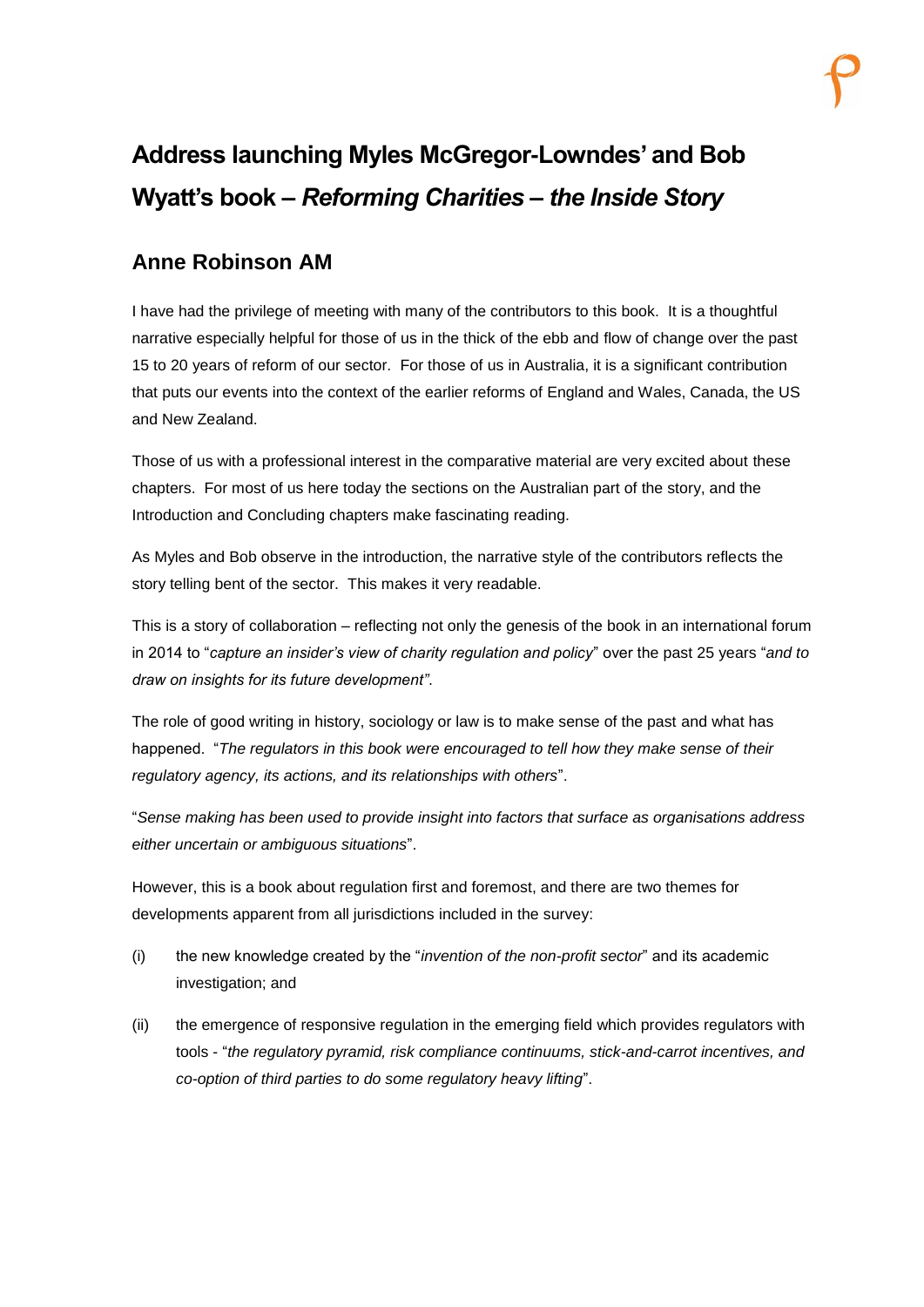## **Address launching Myles McGregor-Lowndes' and Bob Wyatt's book –** *Reforming Charities – the Inside Story*

## **Anne Robinson AM**

I have had the privilege of meeting with many of the contributors to this book. It is a thoughtful narrative especially helpful for those of us in the thick of the ebb and flow of change over the past 15 to 20 years of reform of our sector. For those of us in Australia, it is a significant contribution that puts our events into the context of the earlier reforms of England and Wales, Canada, the US and New Zealand.

Those of us with a professional interest in the comparative material are very excited about these chapters. For most of us here today the sections on the Australian part of the story, and the Introduction and Concluding chapters make fascinating reading.

As Myles and Bob observe in the introduction, the narrative style of the contributors reflects the story telling bent of the sector. This makes it very readable.

This is a story of collaboration – reflecting not only the genesis of the book in an international forum in 2014 to "*capture an insider's view of charity regulation and policy*" over the past 25 years "*and to draw on insights for its future development"*.

The role of good writing in history, sociology or law is to make sense of the past and what has happened. "The regulators in this book were encouraged to tell how they make sense of their *regulatory agency, its actions, and its relationships with others*".

"*Sense making has been used to provide insight into factors that surface as organisations address either uncertain or ambiguous situations*".

However, this is a book about regulation first and foremost, and there are two themes for developments apparent from all jurisdictions included in the survey:

- (i) the new knowledge created by the "*invention of the non-profit sector*" and its academic investigation; and
- (ii) the emergence of responsive regulation in the emerging field which provides regulators with tools - "*the regulatory pyramid, risk compliance continuums, stick-and-carrot incentives, and co-option of third parties to do some regulatory heavy lifting*".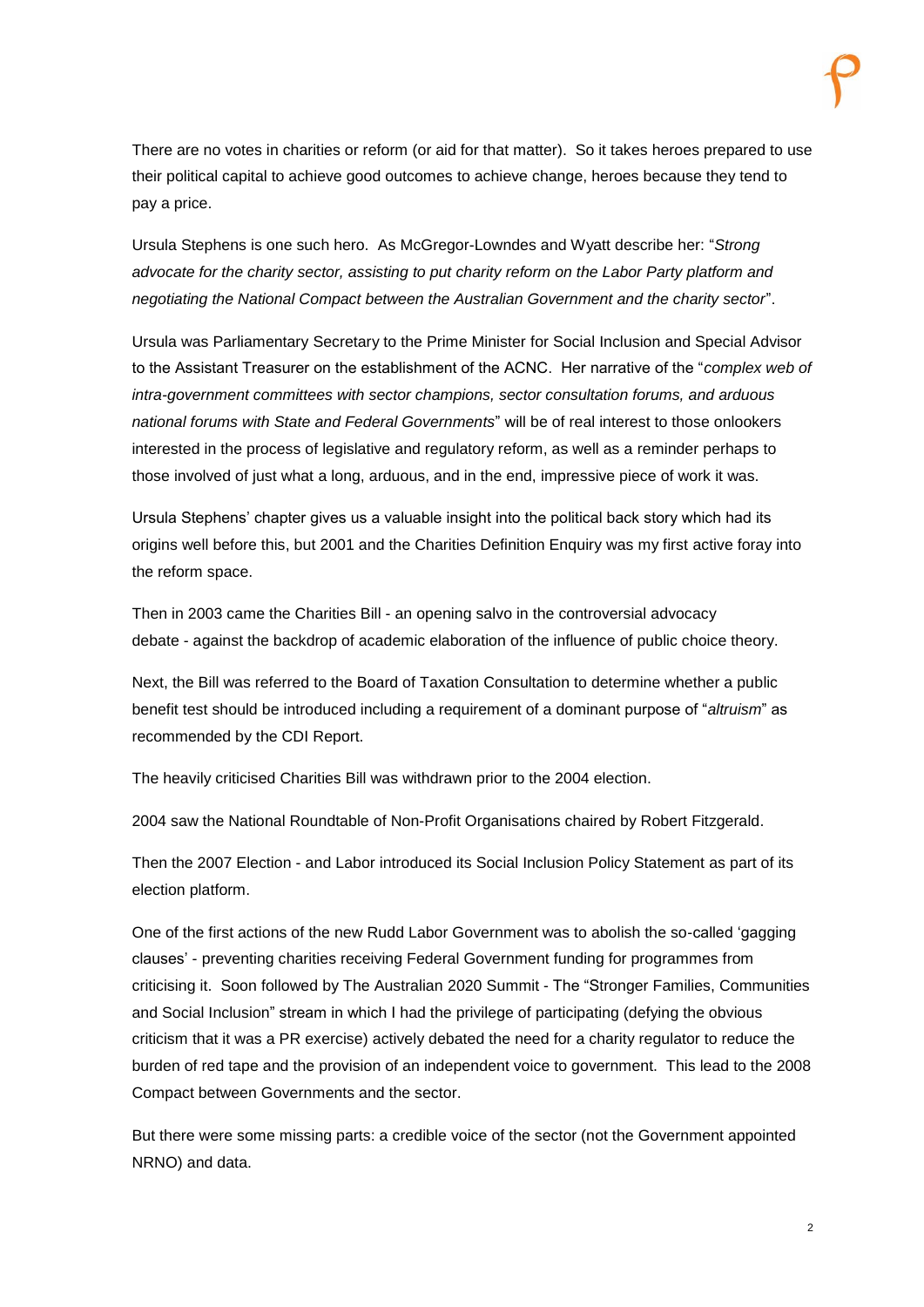There are no votes in charities or reform (or aid for that matter). So it takes heroes prepared to use their political capital to achieve good outcomes to achieve change, heroes because they tend to pay a price.

Ursula Stephens is one such hero. As McGregor-Lowndes and Wyatt describe her: "*Strong advocate for the charity sector, assisting to put charity reform on the Labor Party platform and negotiating the National Compact between the Australian Government and the charity sector*".

Ursula was Parliamentary Secretary to the Prime Minister for Social Inclusion and Special Advisor to the Assistant Treasurer on the establishment of the ACNC. Her narrative of the "*complex web of intra-government committees with sector champions, sector consultation forums, and arduous national forums with State and Federal Governments*" will be of real interest to those onlookers interested in the process of legislative and regulatory reform, as well as a reminder perhaps to those involved of just what a long, arduous, and in the end, impressive piece of work it was.

Ursula Stephens' chapter gives us a valuable insight into the political back story which had its origins well before this, but 2001 and the Charities Definition Enquiry was my first active foray into the reform space.

Then in 2003 came the Charities Bill - an opening salvo in the controversial advocacy debate - against the backdrop of academic elaboration of the influence of public choice theory.

Next, the Bill was referred to the Board of Taxation Consultation to determine whether a public benefit test should be introduced including a requirement of a dominant purpose of "*altruism*" as recommended by the CDI Report.

The heavily criticised Charities Bill was withdrawn prior to the 2004 election.

2004 saw the National Roundtable of Non-Profit Organisations chaired by Robert Fitzgerald.

Then the 2007 Election - and Labor introduced its Social Inclusion Policy Statement as part of its election platform.

One of the first actions of the new Rudd Labor Government was to abolish the so-called 'gagging clauses' - preventing charities receiving Federal Government funding for programmes from criticising it. Soon followed by The Australian 2020 Summit - The "Stronger Families, Communities and Social Inclusion" stream in which I had the privilege of participating (defying the obvious criticism that it was a PR exercise) actively debated the need for a charity regulator to reduce the burden of red tape and the provision of an independent voice to government. This lead to the 2008 Compact between Governments and the sector.

But there were some missing parts: a credible voice of the sector (not the Government appointed NRNO) and data.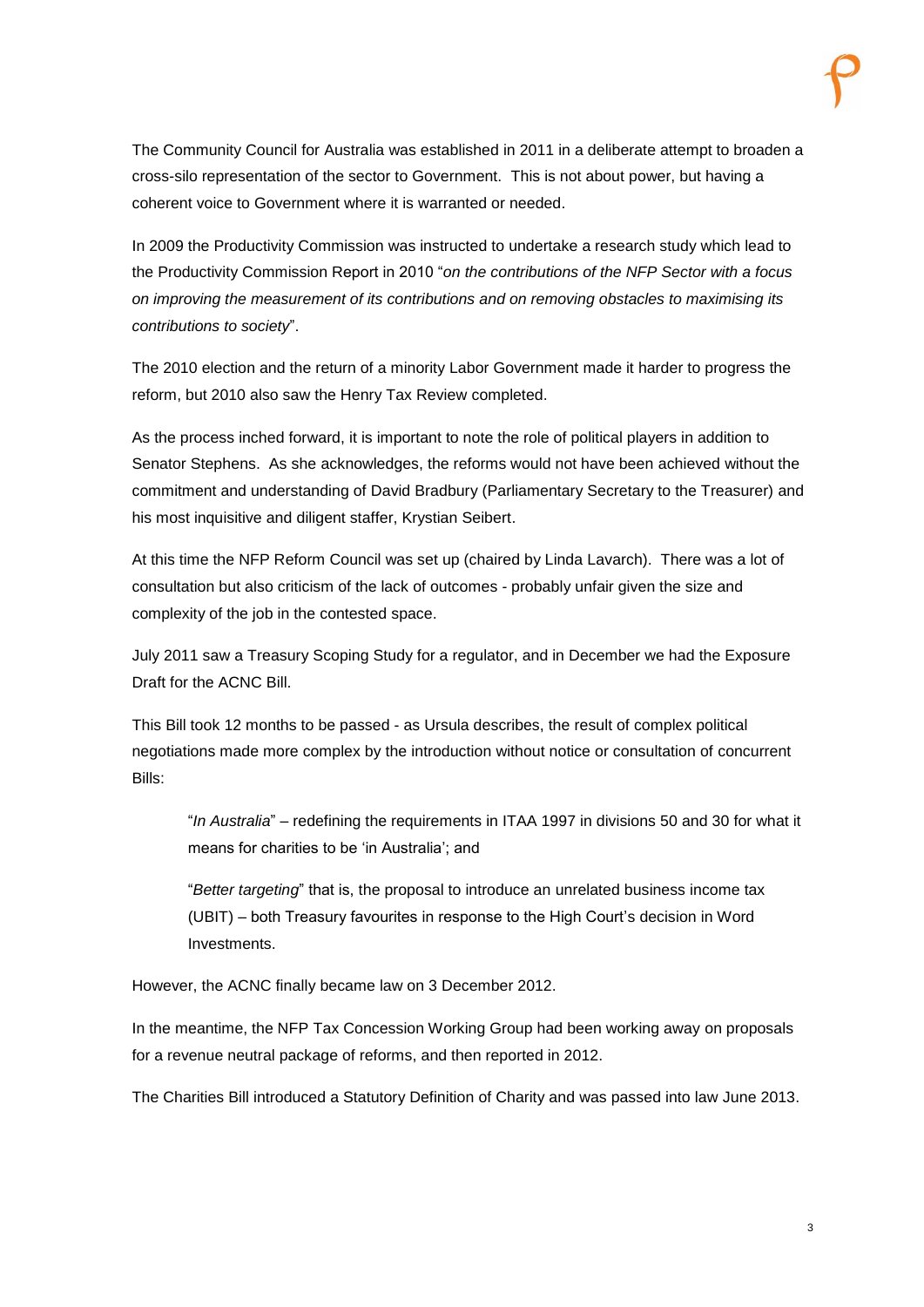The Community Council for Australia was established in 2011 in a deliberate attempt to broaden a cross-silo representation of the sector to Government. This is not about power, but having a coherent voice to Government where it is warranted or needed.

In 2009 the Productivity Commission was instructed to undertake a research study which lead to the Productivity Commission Report in 2010 "*on the contributions of the NFP Sector with a focus on improving the measurement of its contributions and on removing obstacles to maximising its contributions to society*".

The 2010 election and the return of a minority Labor Government made it harder to progress the reform, but 2010 also saw the Henry Tax Review completed.

As the process inched forward, it is important to note the role of political players in addition to Senator Stephens. As she acknowledges, the reforms would not have been achieved without the commitment and understanding of David Bradbury (Parliamentary Secretary to the Treasurer) and his most inquisitive and diligent staffer, Krystian Seibert.

At this time the NFP Reform Council was set up (chaired by Linda Lavarch). There was a lot of consultation but also criticism of the lack of outcomes - probably unfair given the size and complexity of the job in the contested space.

July 2011 saw a Treasury Scoping Study for a regulator, and in December we had the Exposure Draft for the ACNC Bill.

This Bill took 12 months to be passed - as Ursula describes, the result of complex political negotiations made more complex by the introduction without notice or consultation of concurrent Bills:

"*In Australia*" – redefining the requirements in ITAA 1997 in divisions 50 and 30 for what it means for charities to be 'in Australia'; and

"*Better targeting*" that is, the proposal to introduce an unrelated business income tax (UBIT) – both Treasury favourites in response to the High Court's decision in Word Investments.

However, the ACNC finally became law on 3 December 2012.

In the meantime, the NFP Tax Concession Working Group had been working away on proposals for a revenue neutral package of reforms, and then reported in 2012.

The Charities Bill introduced a Statutory Definition of Charity and was passed into law June 2013.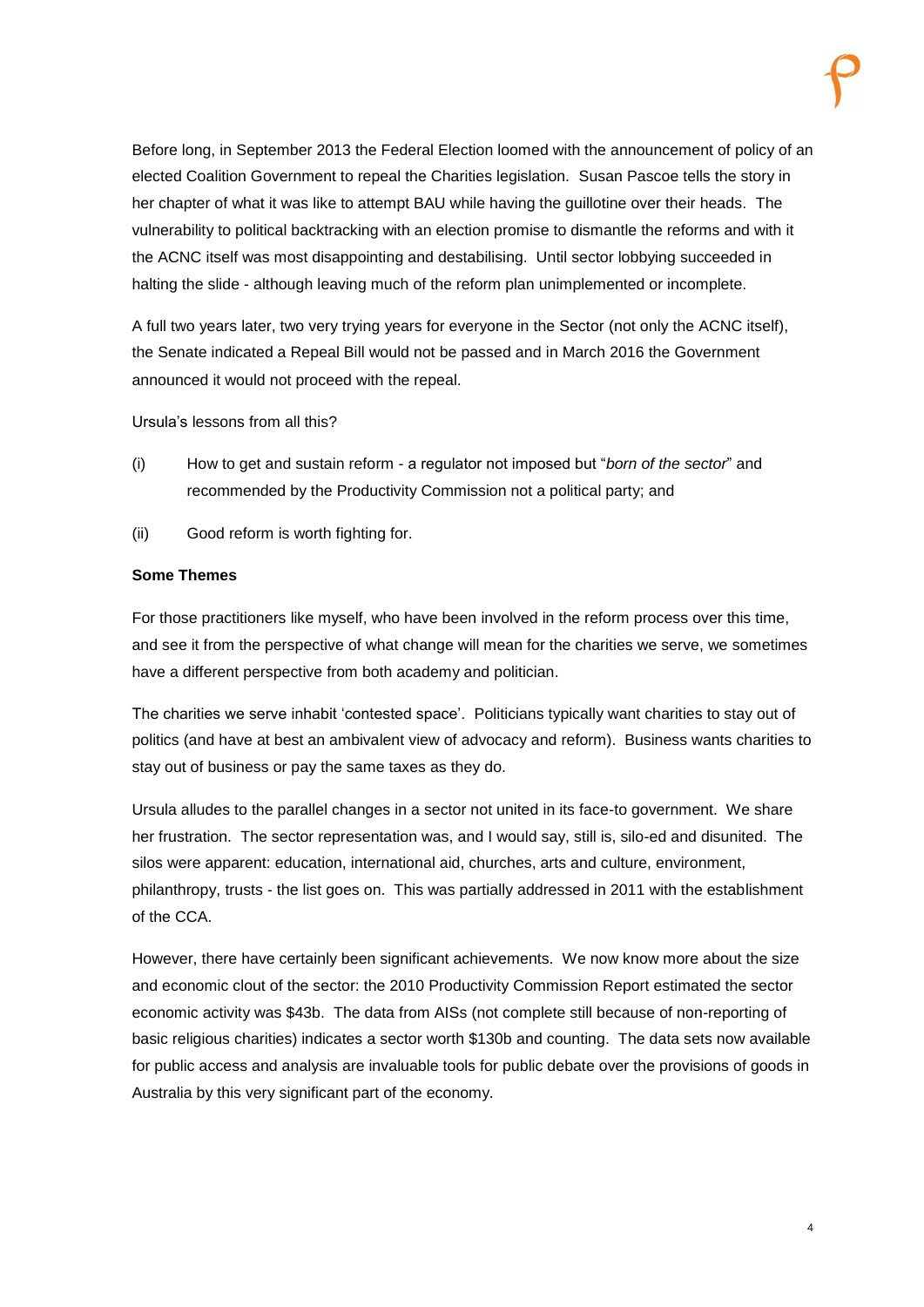Before long, in September 2013 the Federal Election loomed with the announcement of policy of an elected Coalition Government to repeal the Charities legislation. Susan Pascoe tells the story in her chapter of what it was like to attempt BAU while having the guillotine over their heads. The vulnerability to political backtracking with an election promise to dismantle the reforms and with it the ACNC itself was most disappointing and destabilising. Until sector lobbying succeeded in halting the slide - although leaving much of the reform plan unimplemented or incomplete.

A full two years later, two very trying years for everyone in the Sector (not only the ACNC itself), the Senate indicated a Repeal Bill would not be passed and in March 2016 the Government announced it would not proceed with the repeal.

Ursula's lessons from all this?

- (i) How to get and sustain reform a regulator not imposed but "*born of the sector*" and recommended by the Productivity Commission not a political party; and
- (ii) Good reform is worth fighting for.

## **Some Themes**

For those practitioners like myself, who have been involved in the reform process over this time, and see it from the perspective of what change will mean for the charities we serve, we sometimes have a different perspective from both academy and politician.

The charities we serve inhabit 'contested space'. Politicians typically want charities to stay out of politics (and have at best an ambivalent view of advocacy and reform). Business wants charities to stay out of business or pay the same taxes as they do.

Ursula alludes to the parallel changes in a sector not united in its face-to government. We share her frustration. The sector representation was, and I would say, still is, silo-ed and disunited. The silos were apparent: education, international aid, churches, arts and culture, environment, philanthropy, trusts - the list goes on. This was partially addressed in 2011 with the establishment of the CCA.

However, there have certainly been significant achievements. We now know more about the size and economic clout of the sector: the 2010 Productivity Commission Report estimated the sector economic activity was \$43b. The data from AISs (not complete still because of non-reporting of basic religious charities) indicates a sector worth \$130b and counting. The data sets now available for public access and analysis are invaluable tools for public debate over the provisions of goods in Australia by this very significant part of the economy.